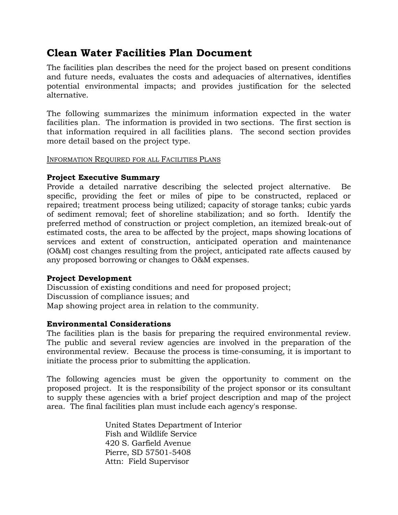# **Clean Water Facilities Plan Document**

The facilities plan describes the need for the project based on present conditions and future needs, evaluates the costs and adequacies of alternatives, identifies potential environmental impacts; and provides justification for the selected alternative.

The following summarizes the minimum information expected in the water facilities plan. The information is provided in two sections. The first section is that information required in all facilities plans. The second section provides more detail based on the project type.

#### INFORMATION REQUIRED FOR ALL FACILITIES PLANS

### **Project Executive Summary**

Provide a detailed narrative describing the selected project alternative. Be specific, providing the feet or miles of pipe to be constructed, replaced or repaired; treatment process being utilized; capacity of storage tanks; cubic yards of sediment removal; feet of shoreline stabilization; and so forth. Identify the preferred method of construction or project completion, an itemized break-out of estimated costs, the area to be affected by the project, maps showing locations of services and extent of construction, anticipated operation and maintenance (O&M) cost changes resulting from the project, anticipated rate affects caused by any proposed borrowing or changes to O&M expenses.

### **Project Development**

Discussion of existing conditions and need for proposed project; Discussion of compliance issues; and Map showing project area in relation to the community.

### **Environmental Considerations**

The facilities plan is the basis for preparing the required environmental review. The public and several review agencies are involved in the preparation of the environmental review. Because the process is time-consuming, it is important to initiate the process prior to submitting the application.

The following agencies must be given the opportunity to comment on the proposed project. It is the responsibility of the project sponsor or its consultant to supply these agencies with a brief project description and map of the project area. The final facilities plan must include each agency's response.

> United States Department of Interior Fish and Wildlife Service 420 S. Garfield Avenue Pierre, SD 57501-5408 Attn: Field Supervisor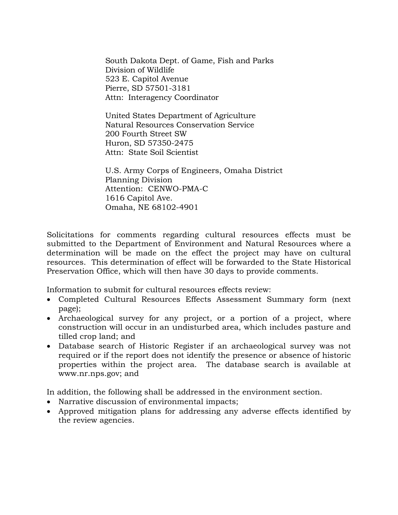South Dakota Dept. of Game, Fish and Parks Division of Wildlife 523 E. Capitol Avenue Pierre, SD 57501-3181 Attn: Interagency Coordinator

United States Department of Agriculture Natural Resources Conservation Service 200 Fourth Street SW Huron, SD 57350-2475 Attn: State Soil Scientist

U.S. Army Corps of Engineers, Omaha District Planning Division Attention: CENWO-PMA-C 1616 Capitol Ave. Omaha, NE 68102-4901

Solicitations for comments regarding cultural resources effects must be submitted to the Department of Environment and Natural Resources where a determination will be made on the effect the project may have on cultural resources. This determination of effect will be forwarded to the State Historical Preservation Office, which will then have 30 days to provide comments.

Information to submit for cultural resources effects review:

- Completed Cultural Resources Effects Assessment Summary form (next page);
- Archaeological survey for any project, or a portion of a project, where construction will occur in an undisturbed area, which includes pasture and tilled crop land; and
- Database search of Historic Register if an archaeological survey was not required or if the report does not identify the presence or absence of historic properties within the project area. The database search is available at www.nr.nps.gov; and

In addition, the following shall be addressed in the environment section.

- Narrative discussion of environmental impacts;
- Approved mitigation plans for addressing any adverse effects identified by the review agencies.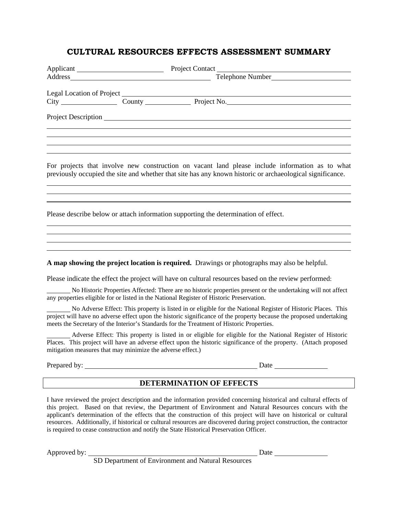# **CULTURAL RESOURCES EFFECTS ASSESSMENT SUMMARY**

|                                                            | Telephone Number                                                                                                                                                                                                                                                                                                                 |
|------------------------------------------------------------|----------------------------------------------------------------------------------------------------------------------------------------------------------------------------------------------------------------------------------------------------------------------------------------------------------------------------------|
|                                                            |                                                                                                                                                                                                                                                                                                                                  |
|                                                            |                                                                                                                                                                                                                                                                                                                                  |
|                                                            |                                                                                                                                                                                                                                                                                                                                  |
|                                                            |                                                                                                                                                                                                                                                                                                                                  |
|                                                            |                                                                                                                                                                                                                                                                                                                                  |
|                                                            |                                                                                                                                                                                                                                                                                                                                  |
|                                                            | For projects that involve new construction on vacant land please include information as to what<br>previously occupied the site and whether that site has any known historic or archaeological significance.                                                                                                                     |
|                                                            | Please describe below or attach information supporting the determination of effect.                                                                                                                                                                                                                                              |
|                                                            | A map showing the project location is required. Drawings or photographs may also be helpful.                                                                                                                                                                                                                                     |
|                                                            | Please indicate the effect the project will have on cultural resources based on the review performed:                                                                                                                                                                                                                            |
|                                                            | No Historic Properties Affected: There are no historic properties present or the undertaking will not affect<br>any properties eligible for or listed in the National Register of Historic Preservation.                                                                                                                         |
|                                                            | No Adverse Effect: This property is listed in or eligible for the National Register of Historic Places. This<br>project will have no adverse effect upon the historic significance of the property because the proposed undertaking<br>meets the Secretary of the Interior's Standards for the Treatment of Historic Properties. |
| mitigation measures that may minimize the adverse effect.) | Adverse Effect: This property is listed in or eligible for eligible for the National Register of Historic<br>Places. This project will have an adverse effect upon the historic significance of the property. (Attach proposed                                                                                                   |
| Prepared by:                                               | Date                                                                                                                                                                                                                                                                                                                             |

#### **DETERMINATION OF EFFECTS**

I have reviewed the project description and the information provided concerning historical and cultural effects of this project. Based on that review, the Department of Environment and Natural Resources concurs with the applicant's determination of the effects that the construction of this project will have on historical or cultural resources. Additionally, if historical or cultural resources are discovered during project construction, the contractor is required to cease construction and notify the State Historical Preservation Officer.

Approved by: <u>Date</u>

SD Department of Environment and Natural Resources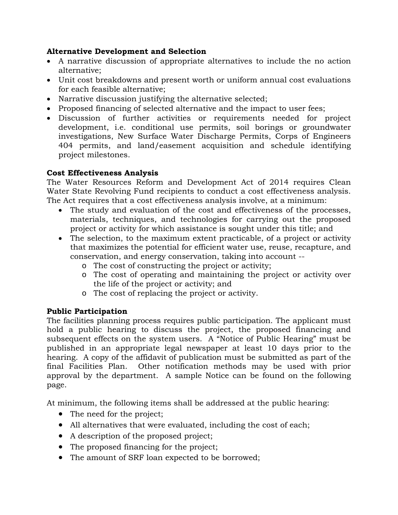## **Alternative Development and Selection**

- A narrative discussion of appropriate alternatives to include the no action alternative;
- Unit cost breakdowns and present worth or uniform annual cost evaluations for each feasible alternative;
- Narrative discussion justifying the alternative selected;
- Proposed financing of selected alternative and the impact to user fees;
- Discussion of further activities or requirements needed for project development, i.e. conditional use permits, soil borings or groundwater investigations, New Surface Water Discharge Permits, Corps of Engineers 404 permits, and land/easement acquisition and schedule identifying project milestones.

## **Cost Effectiveness Analysis**

The Water Resources Reform and Development Act of 2014 requires Clean Water State Revolving Fund recipients to conduct a cost effectiveness analysis. The Act requires that a cost effectiveness analysis involve, at a minimum:

- The study and evaluation of the cost and effectiveness of the processes, materials, techniques, and technologies for carrying out the proposed project or activity for which assistance is sought under this title; and
- The selection, to the maximum extent practicable, of a project or activity that maximizes the potential for efficient water use, reuse, recapture, and conservation, and energy conservation, taking into account -
	- o The cost of constructing the project or activity;
	- o The cost of operating and maintaining the project or activity over the life of the project or activity; and
	- o The cost of replacing the project or activity.

# **Public Participation**

The facilities planning process requires public participation. The applicant must hold a public hearing to discuss the project, the proposed financing and subsequent effects on the system users. A "Notice of Public Hearing" must be published in an appropriate legal newspaper at least 10 days prior to the hearing. A copy of the affidavit of publication must be submitted as part of the final Facilities Plan. Other notification methods may be used with prior approval by the department. A sample Notice can be found on the following page.

At minimum, the following items shall be addressed at the public hearing:

- The need for the project;
- All alternatives that were evaluated, including the cost of each;
- A description of the proposed project;
- The proposed financing for the project;
- The amount of SRF loan expected to be borrowed;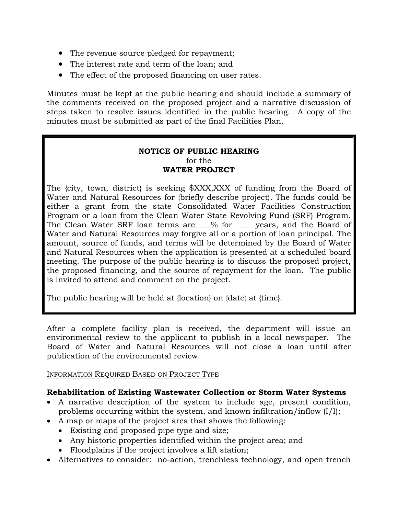- The revenue source pledged for repayment;
- The interest rate and term of the loan; and
- The effect of the proposed financing on user rates.

Minutes must be kept at the public hearing and should include a summary of the comments received on the proposed project and a narrative discussion of steps taken to resolve issues identified in the public hearing. A copy of the minutes must be submitted as part of the final Facilities Plan.

### **NOTICE OF PUBLIC HEARING**  for the **WATER PROJECT**

The {city, town, district} is seeking \$XXX,XXX of funding from the Board of Water and Natural Resources for {briefly describe project}. The funds could be either a grant from the state Consolidated Water Facilities Construction Program or a loan from the Clean Water State Revolving Fund (SRF) Program. The Clean Water SRF loan terms are  $\_\%$  for  $\_\_$  years, and the Board of Water and Natural Resources may forgive all or a portion of loan principal. The amount, source of funds, and terms will be determined by the Board of Water and Natural Resources when the application is presented at a scheduled board meeting. The purpose of the public hearing is to discuss the proposed project, the proposed financing, and the source of repayment for the loan. The public is invited to attend and comment on the project.

The public hearing will be held at {location} on {date} at {time}.

After a complete facility plan is received, the department will issue an environmental review to the applicant to publish in a local newspaper. The Board of Water and Natural Resources will not close a loan until after publication of the environmental review.

### INFORMATION REQUIRED BASED ON PROJECT TYPE

# **Rehabilitation of Existing Wastewater Collection or Storm Water Systems**

- A narrative description of the system to include age, present condition, problems occurring within the system, and known infiltration/inflow (I/I);
- A map or maps of the project area that shows the following:
	- Existing and proposed pipe type and size;
	- Any historic properties identified within the project area; and
	- Floodplains if the project involves a lift station;
- Alternatives to consider: no-action, trenchless technology, and open trench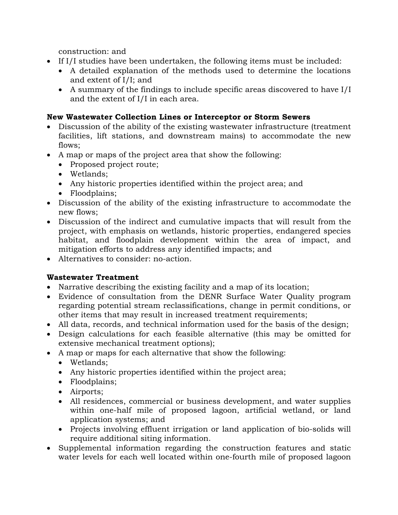construction: and

- If I/I studies have been undertaken, the following items must be included:
	- A detailed explanation of the methods used to determine the locations and extent of I/I; and
	- A summary of the findings to include specific areas discovered to have I/I and the extent of I/I in each area.

# **New Wastewater Collection Lines or Interceptor or Storm Sewers**

- Discussion of the ability of the existing wastewater infrastructure (treatment facilities, lift stations, and downstream mains) to accommodate the new flows:
- A map or maps of the project area that show the following:
	- Proposed project route;
	- Wetlands;
	- Any historic properties identified within the project area; and
	- Floodplains;
- Discussion of the ability of the existing infrastructure to accommodate the new flows;
- Discussion of the indirect and cumulative impacts that will result from the project, with emphasis on wetlands, historic properties, endangered species habitat, and floodplain development within the area of impact, and mitigation efforts to address any identified impacts; and
- Alternatives to consider: no-action.

# **Wastewater Treatment**

- Narrative describing the existing facility and a map of its location;
- Evidence of consultation from the DENR Surface Water Quality program regarding potential stream reclassifications, change in permit conditions, or other items that may result in increased treatment requirements;
- All data, records, and technical information used for the basis of the design;
- Design calculations for each feasible alternative (this may be omitted for extensive mechanical treatment options);
- A map or maps for each alternative that show the following:
	- Wetlands;
	- Any historic properties identified within the project area;
	- Floodplains;
	- Airports;
	- All residences, commercial or business development, and water supplies within one-half mile of proposed lagoon, artificial wetland, or land application systems; and
	- Projects involving effluent irrigation or land application of bio-solids will require additional siting information.
- Supplemental information regarding the construction features and static water levels for each well located within one-fourth mile of proposed lagoon